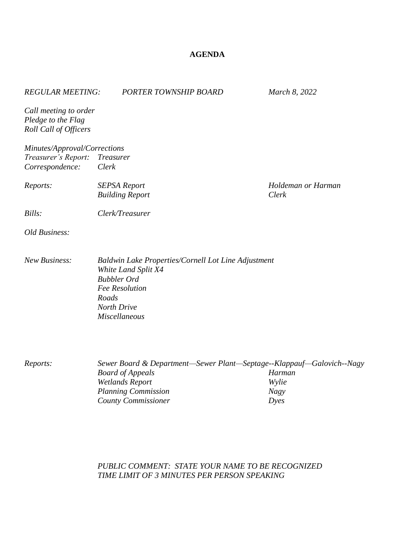## **AGENDA**

| <b>REGULAR MEETING:</b>                                                | PORTER TOWNSHIP BOARD                                                                                                                                                                  | March 8, 2022                          |
|------------------------------------------------------------------------|----------------------------------------------------------------------------------------------------------------------------------------------------------------------------------------|----------------------------------------|
| Call meeting to order<br>Pledge to the Flag<br>Roll Call of Officers   |                                                                                                                                                                                        |                                        |
| Minutes/Approval/Corrections<br>Treasurer's Report:<br>Correspondence: | <b>Treasurer</b><br>Clerk                                                                                                                                                              |                                        |
| Reports:                                                               | <b>SEPSA Report</b><br><b>Building Report</b>                                                                                                                                          | Holdeman or Harman<br>Clerk            |
| Bills:                                                                 | Clerk/Treasurer                                                                                                                                                                        |                                        |
| Old Business:                                                          |                                                                                                                                                                                        |                                        |
| <b>New Business:</b>                                                   | <b>Baldwin Lake Properties/Cornell Lot Line Adjustment</b><br>White Land Split X4<br><b>Bubbler Ord</b><br><b>Fee Resolution</b><br>Roads<br>North Drive<br><b>Miscellaneous</b>       |                                        |
| Reports:                                                               | Sewer Board & Department-Sewer Plant-Septage--Klappauf-Galovich--Nagy<br><b>Board of Appeals</b><br><b>Wetlands Report</b><br><b>Planning Commission</b><br><b>County Commissioner</b> | Harman<br>Wylie<br><b>Nagy</b><br>Dyes |

## *PUBLIC COMMENT: STATE YOUR NAME TO BE RECOGNIZED TIME LIMIT OF 3 MINUTES PER PERSON SPEAKING*